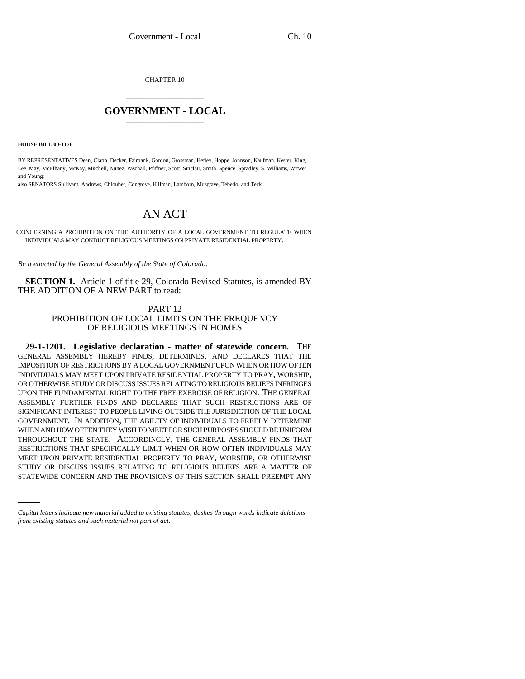CHAPTER 10 \_\_\_\_\_\_\_\_\_\_\_\_\_\_\_

## **GOVERNMENT - LOCAL** \_\_\_\_\_\_\_\_\_\_\_\_\_\_\_

**HOUSE BILL 00-1176** 

BY REPRESENTATIVES Dean, Clapp, Decker, Fairbank, Gordon, Grossman, Hefley, Hoppe, Johnson, Kaufman, Kester, King, Lee, May, McElhany, McKay, Mitchell, Nunez, Paschall, Pfiffner, Scott, Sinclair, Smith, Spence, Spradley, S. Williams, Witwer, and Young;

also SENATORS Sullivant, Andrews, Chlouber, Congrove, Hillman, Lamborn, Musgrave, Tebedo, and Teck.

## AN ACT

CONCERNING A PROHIBITION ON THE AUTHORITY OF A LOCAL GOVERNMENT TO REGULATE WHEN INDIVIDUALS MAY CONDUCT RELIGIOUS MEETINGS ON PRIVATE RESIDENTIAL PROPERTY.

*Be it enacted by the General Assembly of the State of Colorado:*

**SECTION 1.** Article 1 of title 29, Colorado Revised Statutes, is amended BY THE ADDITION OF A NEW PART to read:

## PART 12 PROHIBITION OF LOCAL LIMITS ON THE FREQUENCY OF RELIGIOUS MEETINGS IN HOMES

MEET UPON PRIVATE RESIDENTIAL PROPERTY TO PRAY, WORSHIP, OR OTHERWISE **29-1-1201. Legislative declaration - matter of statewide concern.** THE GENERAL ASSEMBLY HEREBY FINDS, DETERMINES, AND DECLARES THAT THE IMPOSITION OF RESTRICTIONS BY A LOCAL GOVERNMENT UPON WHEN OR HOW OFTEN INDIVIDUALS MAY MEET UPON PRIVATE RESIDENTIAL PROPERTY TO PRAY, WORSHIP, OR OTHERWISE STUDY OR DISCUSS ISSUES RELATING TO RELIGIOUS BELIEFS INFRINGES UPON THE FUNDAMENTAL RIGHT TO THE FREE EXERCISE OF RELIGION. THE GENERAL ASSEMBLY FURTHER FINDS AND DECLARES THAT SUCH RESTRICTIONS ARE OF SIGNIFICANT INTEREST TO PEOPLE LIVING OUTSIDE THE JURISDICTION OF THE LOCAL GOVERNMENT. IN ADDITION, THE ABILITY OF INDIVIDUALS TO FREELY DETERMINE WHEN AND HOW OFTEN THEY WISH TO MEET FOR SUCH PURPOSES SHOULD BE UNIFORM THROUGHOUT THE STATE. ACCORDINGLY, THE GENERAL ASSEMBLY FINDS THAT RESTRICTIONS THAT SPECIFICALLY LIMIT WHEN OR HOW OFTEN INDIVIDUALS MAY STUDY OR DISCUSS ISSUES RELATING TO RELIGIOUS BELIEFS ARE A MATTER OF STATEWIDE CONCERN AND THE PROVISIONS OF THIS SECTION SHALL PREEMPT ANY

*Capital letters indicate new material added to existing statutes; dashes through words indicate deletions from existing statutes and such material not part of act.*